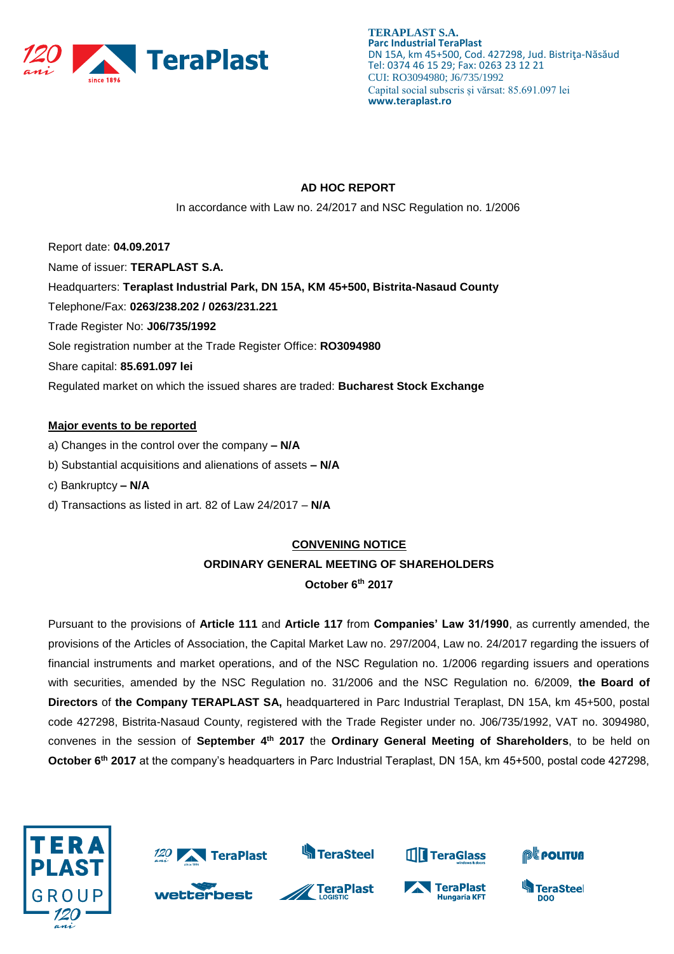

#### **AD HOC REPORT**

In accordance with Law no. 24/2017 and NSC Regulation no. 1/2006

Report date: **04.09.2017** Name of issuer: **TERAPLAST S.A.**  Headquarters: **Teraplast Industrial Park, DN 15A, KM 45+500, Bistrita-Nasaud County** Telephone/Fax: **0263/238.202 / 0263/231.221** Trade Register No: **J06/735/1992** Sole registration number at the Trade Register Office: **RO3094980** Share capital: **85.691.097 lei**  Regulated market on which the issued shares are traded: **Bucharest Stock Exchange**

#### **Major events to be reported**

- a) Changes in the control over the company **– N/A**
- b) Substantial acquisitions and alienations of assets **– N/A**
- c) Bankruptcy **– N/A**
- d) Transactions as listed in art. 82 of Law 24/2017 **N/A**

#### **CONVENING NOTICE**

## **ORDINARY GENERAL MEETING OF SHAREHOLDERS**

**October 6 th 2017**

Pursuant to the provisions of **Article 111** and **Article 117** from **Companies' Law 31/1990**, as currently amended, the provisions of the Articles of Association, the Capital Market Law no. 297/2004, Law no. 24/2017 regarding the issuers of financial instruments and market operations, and of the NSC Regulation no. 1/2006 regarding issuers and operations with securities, amended by the NSC Regulation no. 31/2006 and the NSC Regulation no. 6/2009, **the Board of Directors** of **the Company TERAPLAST SA,** headquartered in Parc Industrial Teraplast, DN 15A, km 45+500, postal code 427298, Bistrita-Nasaud County, registered with the Trade Register under no. J06/735/1992, VAT no. 3094980, convenes in the session of **September 4 th 2017** the **Ordinary General Meeting of Shareholders**, to be held on **October 6th 2017** at the company's headquarters in Parc Industrial Teraplast, DN 15A, km 45+500, postal code 427298,

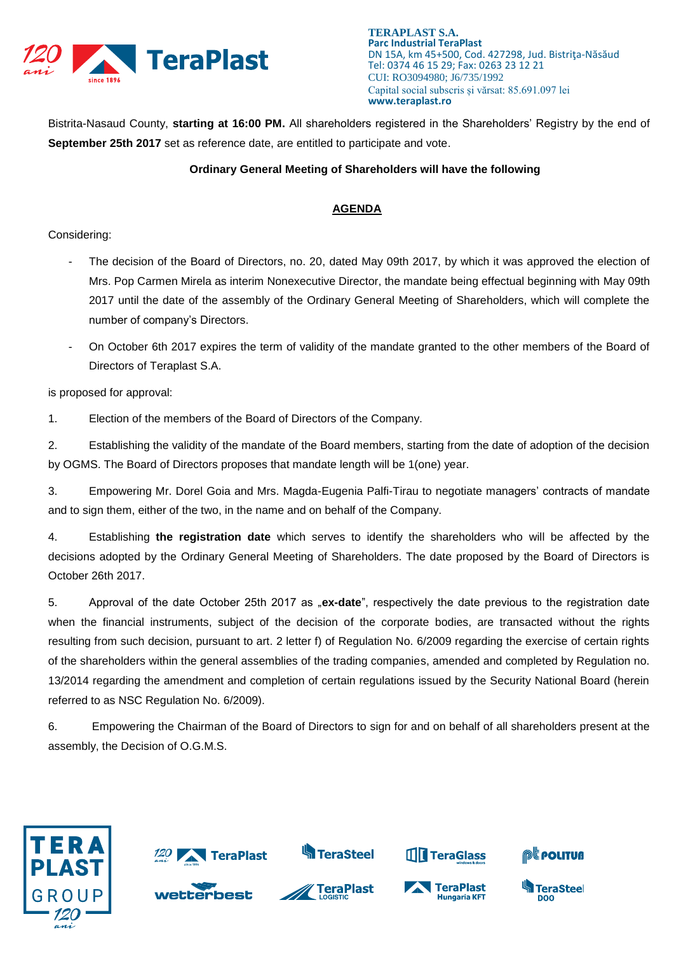

Bistrita-Nasaud County, **starting at 16:00 PM.** All shareholders registered in the Shareholders' Registry by the end of **September 25th 2017** set as reference date, are entitled to participate and vote.

#### **Ordinary General Meeting of Shareholders will have the following**

### **AGENDA**

#### Considering:

- The decision of the Board of Directors, no. 20, dated May 09th 2017, by which it was approved the election of Mrs. Pop Carmen Mirela as interim Nonexecutive Director, the mandate being effectual beginning with May 09th 2017 until the date of the assembly of the Ordinary General Meeting of Shareholders, which will complete the number of company's Directors.
- On October 6th 2017 expires the term of validity of the mandate granted to the other members of the Board of Directors of Teraplast S.A.

is proposed for approval:

1. Election of the members of the Board of Directors of the Company.

2. Establishing the validity of the mandate of the Board members, starting from the date of adoption of the decision by OGMS. The Board of Directors proposes that mandate length will be 1(one) year.

3. Empowering Mr. Dorel Goia and Mrs. Magda-Eugenia Palfi-Tirau to negotiate managers' contracts of mandate and to sign them, either of the two, in the name and on behalf of the Company.

4. Establishing **the registration date** which serves to identify the shareholders who will be affected by the decisions adopted by the Ordinary General Meeting of Shareholders. The date proposed by the Board of Directors is October 26th 2017.

5. Approval of the date October 25th 2017 as "**ex-date**", respectively the date previous to the registration date when the financial instruments, subject of the decision of the corporate bodies, are transacted without the rights resulting from such decision, pursuant to art. 2 letter f) of Regulation No. 6/2009 regarding the exercise of certain rights of the shareholders within the general assemblies of the trading companies, amended and completed by Regulation no. 13/2014 regarding the amendment and completion of certain regulations issued by the Security National Board (herein referred to as NSC Regulation No. 6/2009).

6. Empowering the Chairman of the Board of Directors to sign for and on behalf of all shareholders present at the assembly, the Decision of O.G.M.S.

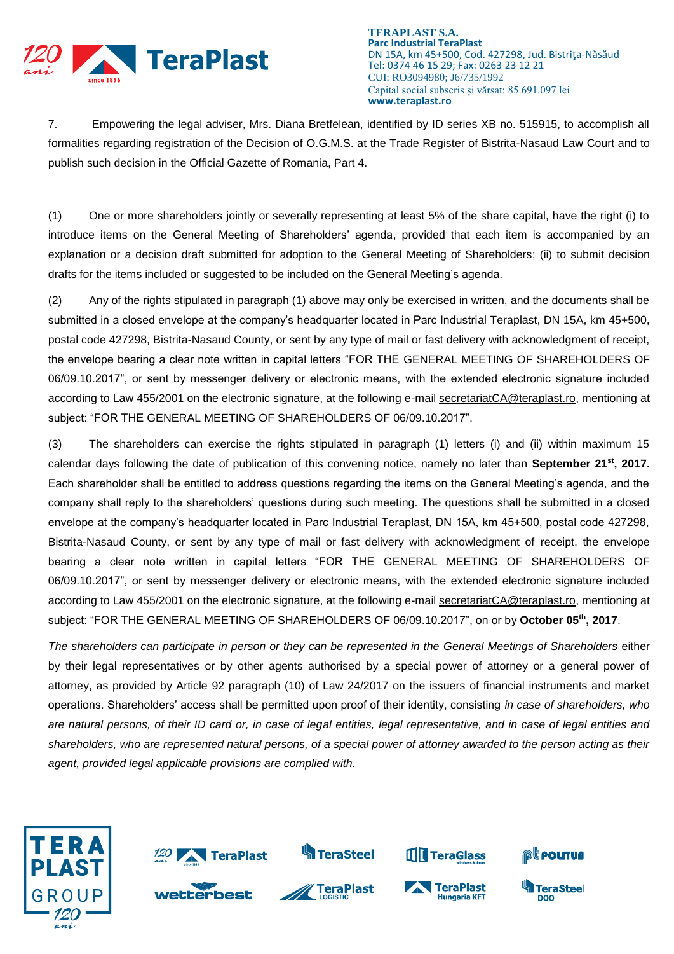

7. Empowering the legal adviser, Mrs. Diana Bretfelean, identified by ID series XB no. 515915, to accomplish all formalities regarding registration of the Decision of O.G.M.S. at the Trade Register of Bistrita-Nasaud Law Court and to publish such decision in the Official Gazette of Romania, Part 4.

(1) One or more shareholders jointly or severally representing at least 5% of the share capital, have the right (i) to introduce items on the General Meeting of Shareholders' agenda, provided that each item is accompanied by an explanation or a decision draft submitted for adoption to the General Meeting of Shareholders; (ii) to submit decision drafts for the items included or suggested to be included on the General Meeting's agenda.

(2) Any of the rights stipulated in paragraph (1) above may only be exercised in written, and the documents shall be submitted in a closed envelope at the company's headquarter located in Parc Industrial Teraplast, DN 15A, km 45+500, postal code 427298, Bistrita-Nasaud County, or sent by any type of mail or fast delivery with acknowledgment of receipt, the envelope bearing a clear note written in capital letters "FOR THE GENERAL MEETING OF SHAREHOLDERS OF 06/09.10.2017", or sent by messenger delivery or electronic means, with the extended electronic signature included according to Law 455/2001 on the electronic signature, at the following e-mail [secretariatCA@teraplast.ro,](mailto:secretariatCA@teraplast.ro) mentioning at subject: "FOR THE GENERAL MEETING OF SHAREHOLDERS OF 06/09.10.2017".

(3) The shareholders can exercise the rights stipulated in paragraph (1) letters (i) and (ii) within maximum 15 calendar days following the date of publication of this convening notice, namely no later than **September 21st, 2017.**  Each shareholder shall be entitled to address questions regarding the items on the General Meeting's agenda, and the company shall reply to the shareholders' questions during such meeting. The questions shall be submitted in a closed envelope at the company's headquarter located in Parc Industrial Teraplast, DN 15A, km 45+500, postal code 427298, Bistrita-Nasaud County, or sent by any type of mail or fast delivery with acknowledgment of receipt, the envelope bearing a clear note written in capital letters "FOR THE GENERAL MEETING OF SHAREHOLDERS OF 06/09.10.2017", or sent by messenger delivery or electronic means, with the extended electronic signature included according to Law 455/2001 on the electronic signature, at the following e-mail [secretariatCA@teraplast.ro,](mailto:secretariatCA@teraplast.ro) mentioning at subject: "FOR THE GENERAL MEETING OF SHAREHOLDERS OF 06/09.10.2017", on or by **October 05th, 2017**.

*The shareholders can participate in person or they can be represented in the General Meetings of Shareholders* either by their legal representatives or by other agents authorised by a special power of attorney or a general power of attorney, as provided by Article 92 paragraph (10) of Law 24/2017 on the issuers of financial instruments and market operations. Shareholders' access shall be permitted upon proof of their identity, consisting *in case of shareholders, who are natural persons, of their ID card or, in case of legal entities, legal representative, and in case of legal entities and shareholders, who are represented natural persons, of a special power of attorney awarded to the person acting as their agent, provided legal applicable provisions are complied with.*

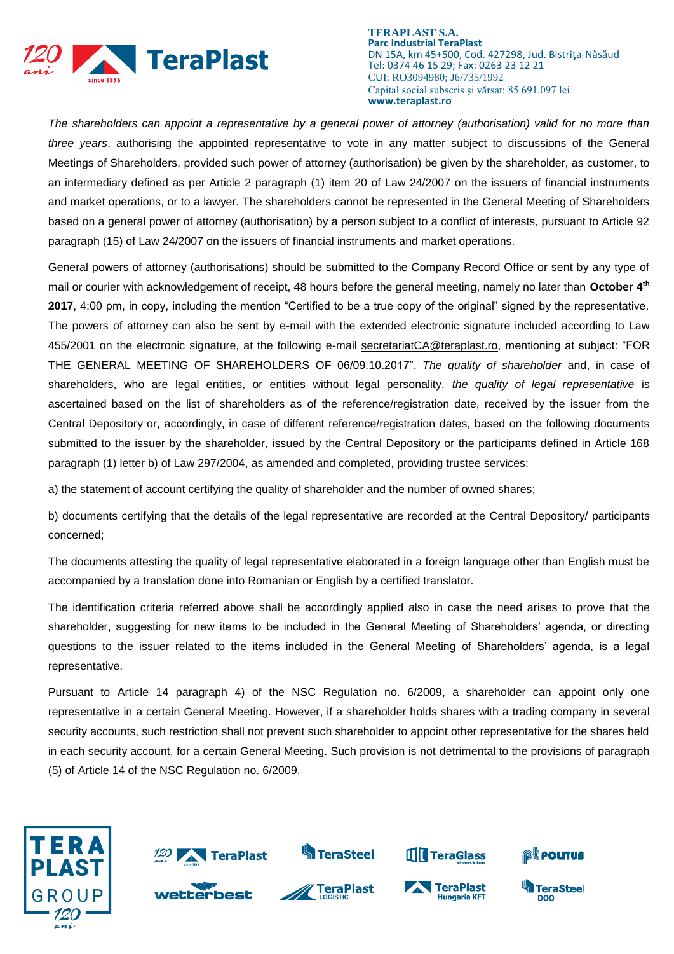

*The shareholders can appoint a representative by a general power of attorney (authorisation) valid for no more than three years*, authorising the appointed representative to vote in any matter subject to discussions of the General Meetings of Shareholders, provided such power of attorney (authorisation) be given by the shareholder, as customer, to an intermediary defined as per Article 2 paragraph (1) item 20 of Law 24/2007 on the issuers of financial instruments and market operations, or to a lawyer. The shareholders cannot be represented in the General Meeting of Shareholders based on a general power of attorney (authorisation) by a person subject to a conflict of interests, pursuant to Article 92 paragraph (15) of Law 24/2007 on the issuers of financial instruments and market operations.

General powers of attorney (authorisations) should be submitted to the Company Record Office or sent by any type of mail or courier with acknowledgement of receipt, 48 hours before the general meeting, namely no later than **October 4th 2017**, 4:00 pm, in copy, including the mention "Certified to be a true copy of the original" signed by the representative. The powers of attorney can also be sent by e-mail with the extended electronic signature included according to Law 455/2001 on the electronic signature, at the following e-mail [secretariatCA@teraplast.ro,](mailto:secretariatCA@teraplast.ro) mentioning at subject: "FOR THE GENERAL MEETING OF SHAREHOLDERS OF 06/09.10.2017". *The quality of shareholder* and, in case of shareholders, who are legal entities, or entities without legal personality, *the quality of legal representative* is ascertained based on the list of shareholders as of the reference/registration date, received by the issuer from the Central Depository or, accordingly, in case of different reference/registration dates, based on the following documents submitted to the issuer by the shareholder, issued by the Central Depository or the participants defined in Article 168 paragraph (1) letter b) of Law 297/2004, as amended and completed, providing trustee services:

a) the statement of account certifying the quality of shareholder and the number of owned shares;

b) documents certifying that the details of the legal representative are recorded at the Central Depository/ participants concerned;

The documents attesting the quality of legal representative elaborated in a foreign language other than English must be accompanied by a translation done into Romanian or English by a certified translator.

The identification criteria referred above shall be accordingly applied also in case the need arises to prove that the shareholder, suggesting for new items to be included in the General Meeting of Shareholders' agenda, or directing questions to the issuer related to the items included in the General Meeting of Shareholders' agenda, is a legal representative.

Pursuant to Article 14 paragraph 4) of the NSC Regulation no. 6/2009, a shareholder can appoint only one representative in a certain General Meeting. However, if a shareholder holds shares with a trading company in several security accounts, such restriction shall not prevent such shareholder to appoint other representative for the shares held in each security account, for a certain General Meeting. Such provision is not detrimental to the provisions of paragraph (5) of Article 14 of the NSC Regulation no. 6/2009.

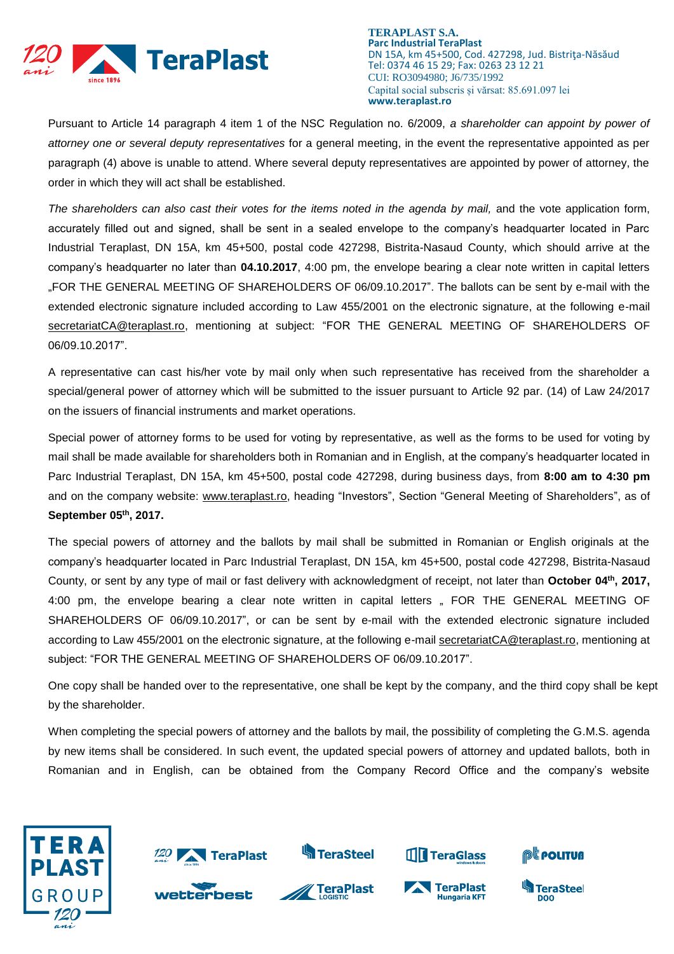

Pursuant to Article 14 paragraph 4 item 1 of the NSC Regulation no. 6/2009, *a shareholder can appoint by power of attorney one or several deputy representatives* for a general meeting, in the event the representative appointed as per paragraph (4) above is unable to attend. Where several deputy representatives are appointed by power of attorney, the order in which they will act shall be established.

The shareholders can also cast their votes for the items noted in the agenda by mail, and the vote application form, accurately filled out and signed, shall be sent in a sealed envelope to the company's headquarter located in Parc Industrial Teraplast, DN 15A, km 45+500, postal code 427298, Bistrita-Nasaud County, which should arrive at the company's headquarter no later than **04.10.2017**, 4:00 pm, the envelope bearing a clear note written in capital letters "FOR THE GENERAL MEETING OF SHAREHOLDERS OF 06/09.10.2017". The ballots can be sent by e-mail with the extended electronic signature included according to Law 455/2001 on the electronic signature, at the following e-mail [secretariatCA@teraplast.ro,](mailto:secretariatCA@teraplast.ro) mentioning at subject: "FOR THE GENERAL MEETING OF SHAREHOLDERS OF 06/09.10.2017".

A representative can cast his/her vote by mail only when such representative has received from the shareholder a special/general power of attorney which will be submitted to the issuer pursuant to Article 92 par. (14) of Law 24/2017 on the issuers of financial instruments and market operations.

Special power of attorney forms to be used for voting by representative, as well as the forms to be used for voting by mail shall be made available for shareholders both in Romanian and in English, at the company's headquarter located in Parc Industrial Teraplast, DN 15A, km 45+500, postal code 427298, during business days, from **8:00 am to 4:30 pm** and on the company website: [www.teraplast.ro,](http://www.teraplast.ro/) heading "Investors", Section "General Meeting of Shareholders", as of **September 05th , 2017.**

The special powers of attorney and the ballots by mail shall be submitted in Romanian or English originals at the company's headquarter located in Parc Industrial Teraplast, DN 15A, km 45+500, postal code 427298, Bistrita-Nasaud County, or sent by any type of mail or fast delivery with acknowledgment of receipt, not later than **October 04th , 2017,** 4:00 pm, the envelope bearing a clear note written in capital letters " FOR THE GENERAL MEETING OF SHAREHOLDERS OF 06/09.10.2017", or can be sent by e-mail with the extended electronic signature included according to Law 455/2001 on the electronic signature, at the following e-mail [secretariatCA@teraplast.ro,](mailto:secretariatCA@teraplast.ro) mentioning at subject: "FOR THE GENERAL MEETING OF SHAREHOLDERS OF 06/09.10.2017".

One copy shall be handed over to the representative, one shall be kept by the company, and the third copy shall be kept by the shareholder.

When completing the special powers of attorney and the ballots by mail, the possibility of completing the G.M.S. agenda by new items shall be considered. In such event, the updated special powers of attorney and updated ballots, both in Romanian and in English, can be obtained from the Company Record Office and the company's website